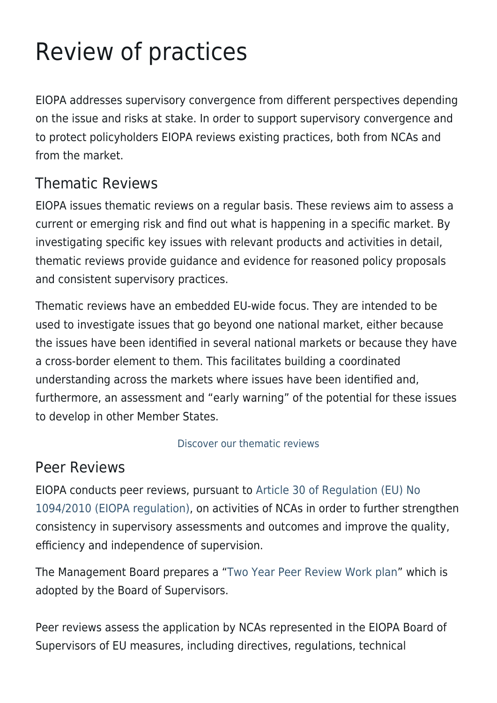# Review of practices

EIOPA addresses supervisory convergence from different perspectives depending on the issue and risks at stake. In order to support supervisory convergence and to protect policyholders EIOPA reviews existing practices, both from NCAs and from the market.

## Thematic Reviews

EIOPA issues thematic reviews on a regular basis. These reviews aim to assess a current or emerging risk and find out what is happening in a specific market. By investigating specific key issues with relevant products and activities in detail, thematic reviews provide guidance and evidence for reasoned policy proposals and consistent supervisory practices.

Thematic reviews have an embedded EU-wide focus. They are intended to be used to investigate issues that go beyond one national market, either because the issues have been identified in several national markets or because they have a cross-border element to them. This facilitates building a coordinated understanding across the markets where issues have been identified and, furthermore, an assessment and "early warning" of the potential for these issues to develop in other Member States.

#### [Discover our thematic reviews](https://www.eiopa.europa.eu/document-library_en?field_term_document_type_tid%5B%5D=503&populate=&field_eiopa_date_value%5Bvalue%5D%5Byear%5D=&=Apply)

### Peer Reviews

EIOPA conducts peer reviews, pursuant to [Article 30 of Regulation \(EU\) No](https://eur-lex.europa.eu/legal-content/EN/TXT/?uri=uriserv:OJ.L_.2019.334.01.0001.01.ENG&toc=OJ:L:2019:334:TOC) [1094/2010 \(EIOPA regulation\)](https://eur-lex.europa.eu/legal-content/EN/TXT/?uri=uriserv:OJ.L_.2019.334.01.0001.01.ENG&toc=OJ:L:2019:334:TOC), on activities of NCAs in order to further strengthen consistency in supervisory assessments and outcomes and improve the quality, efficiency and independence of supervision.

The Management Board prepares a ["Two Year Peer Review Work plan](https://www.eiopa.europa.eu/sites/default/files/publications/administrative/eiopa-20-597-peer_review_work_plan_2020-2022.pdf)" which is adopted by the Board of Supervisors.

Peer reviews assess the application by NCAs represented in the EIOPA Board of Supervisors of EU measures, including directives, regulations, technical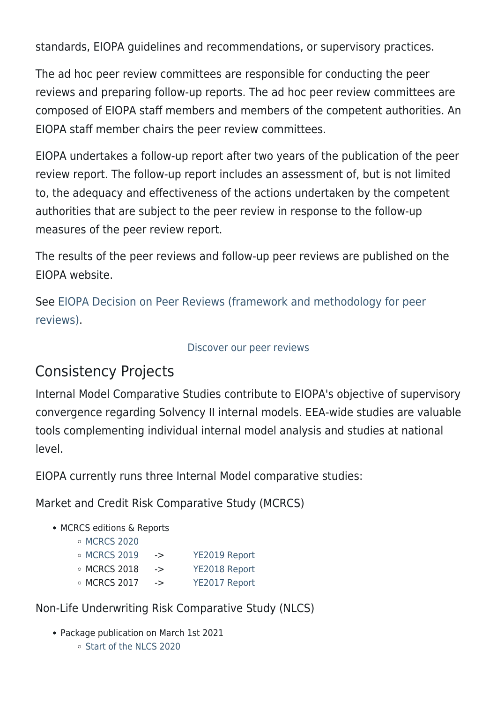standards, EIOPA guidelines and recommendations, or supervisory practices.

The ad hoc peer review committees are responsible for conducting the peer reviews and preparing follow-up reports. The ad hoc peer review committees are composed of EIOPA staff members and members of the competent authorities. An EIOPA staff member chairs the peer review committees.

EIOPA undertakes a follow-up report after two years of the publication of the peer review report. The follow-up report includes an assessment of, but is not limited to, the adequacy and effectiveness of the actions undertaken by the competent authorities that are subject to the peer review in response to the follow-up measures of the peer review report.

The results of the peer reviews and follow-up peer reviews are published on the EIOPA website.

See [EIOPA Decision on Peer Reviews \(framework and methodology for peer](https://www.eiopa.europa.eu/document-library/peer-review/peer-review-methodology_en) [reviews\).](https://www.eiopa.europa.eu/document-library/peer-review/peer-review-methodology_en)

#### [Discover our peer reviews](https://www.eiopa.europa.eu/document-library_en?field_term_document_type_tid%5B%5D=133&populate=&field_eiopa_date_value%5Bvalue%5D%5Byear%5D=&=Apply)

## Consistency Projects

Internal Model Comparative Studies contribute to EIOPA's objective of supervisory convergence regarding Solvency II internal models. EEA-wide studies are valuable tools complementing individual internal model analysis and studies at national level.

EIOPA currently runs three Internal Model comparative studies:

Market and Credit Risk Comparative Study (MCRCS)

#### • MCRCS editions & Reports

|  | ○ MCRCS 2020 |  |
|--|--------------|--|
|--|--------------|--|

| $\circ$ MCRCS 2019 | -> | YE2019 Report |
|--------------------|----|---------------|
| $\circ$ MCRCS 2018 | -> | YE2018 Report |
| $\circ$ MCRCS 2017 | -> | YE2017 Report |

- Non-Life Underwriting Risk Comparative Study (NLCS)
	- Package publication on March 1st 2021 o [Start of the NLCS 2020](https://www.eiopa.europa.eu/content/start-of-non-life-underwriting-risk-comparative-study-internal-models_en)